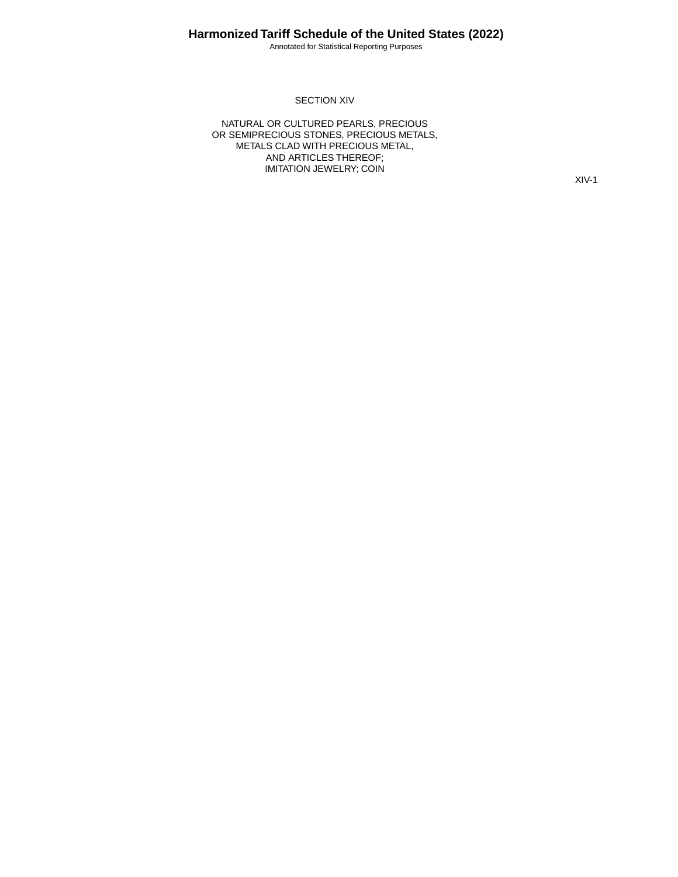Annotated for Statistical Reporting Purposes

#### SECTION XIV

NATURAL OR CULTURED PEARLS, PRECIOUS OR SEMIPRECIOUS STONES, PRECIOUS METALS, METALS CLAD WITH PRECIOUS METAL, AND ARTICLES THEREOF; IMITATION JEWELRY; COIN

XIV-1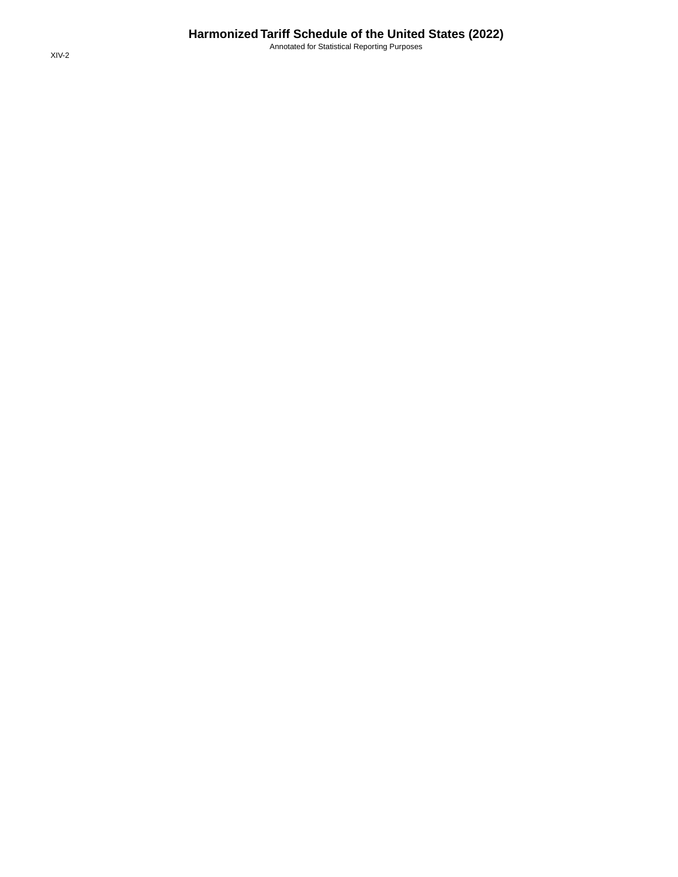Annotated for Statistical Reporting Purposes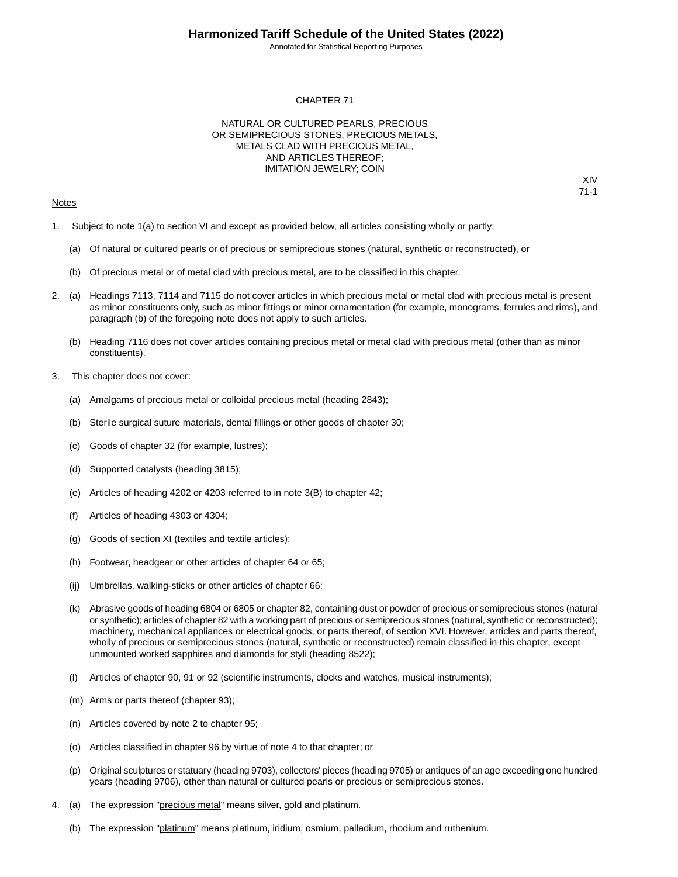Annotated for Statistical Reporting Purposes

XIV 71-1

#### CHAPTER 71

#### NATURAL OR CULTURED PEARLS, PRECIOUS OR SEMIPRECIOUS STONES, PRECIOUS METALS, METALS CLAD WITH PRECIOUS METAL, AND ARTICLES THEREOF; IMITATION JEWELRY; COIN

#### Notes

1. Subject to note 1(a) to section VI and except as provided below, all articles consisting wholly or partly:

- (a) Of natural or cultured pearls or of precious or semiprecious stones (natural, synthetic or reconstructed), or
- (b) Of precious metal or of metal clad with precious metal, are to be classified in this chapter.
- 2. (a) Headings 7113, 7114 and 7115 do not cover articles in which precious metal or metal clad with precious metal is present as minor constituents only, such as minor fittings or minor ornamentation (for example, monograms, ferrules and rims), and paragraph (b) of the foregoing note does not apply to such articles.
	- (b) Heading 7116 does not cover articles containing precious metal or metal clad with precious metal (other than as minor constituents).
- 3. This chapter does not cover:
	- (a) Amalgams of precious metal or colloidal precious metal (heading 2843);
	- (b) Sterile surgical suture materials, dental fillings or other goods of chapter 30;
	- (c) Goods of chapter 32 (for example, lustres);
	- (d) Supported catalysts (heading 3815);
	- (e) Articles of heading 4202 or 4203 referred to in note 3(B) to chapter 42;
	- (f) Articles of heading 4303 or 4304;
	- (g) Goods of section XI (textiles and textile articles);
	- (h) Footwear, headgear or other articles of chapter 64 or 65;
	- (ij) Umbrellas, walking-sticks or other articles of chapter 66;
	- (k) Abrasive goods of heading 6804 or 6805 or chapter 82, containing dust or powder of precious or semiprecious stones (natural or synthetic); articles of chapter 82 with a working part of precious or semiprecious stones (natural, synthetic or reconstructed); machinery, mechanical appliances or electrical goods, or parts thereof, of section XVI. However, articles and parts thereof, wholly of precious or semiprecious stones (natural, synthetic or reconstructed) remain classified in this chapter, except unmounted worked sapphires and diamonds for styli (heading 8522);
	- (l) Articles of chapter 90, 91 or 92 (scientific instruments, clocks and watches, musical instruments);
	- (m) Arms or parts thereof (chapter 93);
	- (n) Articles covered by note 2 to chapter 95;
	- (o) Articles classified in chapter 96 by virtue of note 4 to that chapter; or
	- (p) Original sculptures or statuary (heading 9703), collectors' pieces (heading 9705) or antiques of an age exceeding one hundred years (heading 9706), other than natural or cultured pearls or precious or semiprecious stones.
- 4. (a) The expression "precious metal" means silver, gold and platinum.
	- (b) The expression "platinum" means platinum, iridium, osmium, palladium, rhodium and ruthenium.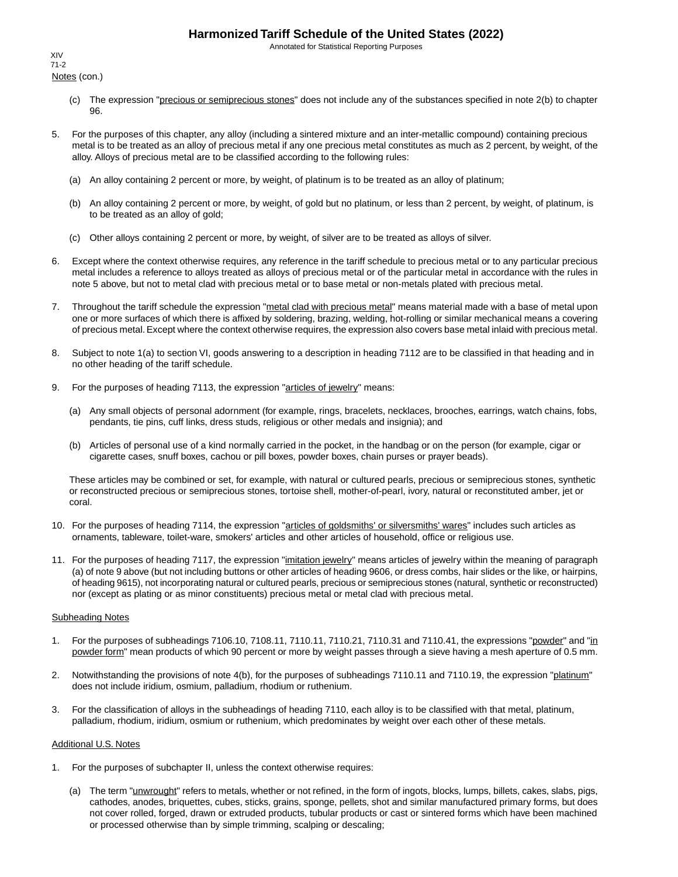Annotated for Statistical Reporting Purposes

Notes (con.) XIV 71-2

- (c) The expression "precious or semiprecious stones" does not include any of the substances specified in note 2(b) to chapter 96.
- 5. For the purposes of this chapter, any alloy (including a sintered mixture and an inter-metallic compound) containing precious metal is to be treated as an alloy of precious metal if any one precious metal constitutes as much as 2 percent, by weight, of the alloy. Alloys of precious metal are to be classified according to the following rules:
	- (a) An alloy containing 2 percent or more, by weight, of platinum is to be treated as an alloy of platinum;
	- (b) An alloy containing 2 percent or more, by weight, of gold but no platinum, or less than 2 percent, by weight, of platinum, is to be treated as an alloy of gold;
	- (c) Other alloys containing 2 percent or more, by weight, of silver are to be treated as alloys of silver.
- 6. Except where the context otherwise requires, any reference in the tariff schedule to precious metal or to any particular precious metal includes a reference to alloys treated as alloys of precious metal or of the particular metal in accordance with the rules in note 5 above, but not to metal clad with precious metal or to base metal or non-metals plated with precious metal.
- 7. Throughout the tariff schedule the expression "metal clad with precious metal" means material made with a base of metal upon one or more surfaces of which there is affixed by soldering, brazing, welding, hot-rolling or similar mechanical means a covering of precious metal. Except where the context otherwise requires, the expression also covers base metal inlaid with precious metal.
- 8. Subject to note 1(a) to section VI, goods answering to a description in heading 7112 are to be classified in that heading and in no other heading of the tariff schedule.
- 9. For the purposes of heading 7113, the expression "articles of jewelry" means:
	- (a) Any small objects of personal adornment (for example, rings, bracelets, necklaces, brooches, earrings, watch chains, fobs, pendants, tie pins, cuff links, dress studs, religious or other medals and insignia); and
	- (b) Articles of personal use of a kind normally carried in the pocket, in the handbag or on the person (for example, cigar or cigarette cases, snuff boxes, cachou or pill boxes, powder boxes, chain purses or prayer beads).

These articles may be combined or set, for example, with natural or cultured pearls, precious or semiprecious stones, synthetic or reconstructed precious or semiprecious stones, tortoise shell, mother-of-pearl, ivory, natural or reconstituted amber, jet or coral.

- 10. For the purposes of heading 7114, the expression "articles of goldsmiths' or silversmiths' wares" includes such articles as ornaments, tableware, toilet-ware, smokers' articles and other articles of household, office or religious use.
- 11. For the purposes of heading 7117, the expression "imitation jewelry" means articles of jewelry within the meaning of paragraph (a) of note 9 above (but not including buttons or other articles of heading 9606, or dress combs, hair slides or the like, or hairpins, of heading 9615), not incorporating natural or cultured pearls, precious or semiprecious stones (natural, synthetic or reconstructed) nor (except as plating or as minor constituents) precious metal or metal clad with precious metal.

#### Subheading Notes

- 1. For the purposes of subheadings 7106.10, 7108.11, 7110.11, 7110.21, 7110.31 and 7110.41, the expressions "powder" and "in powder form" mean products of which 90 percent or more by weight passes through a sieve having a mesh aperture of 0.5 mm.
- 2. Notwithstanding the provisions of note 4(b), for the purposes of subheadings 7110.11 and 7110.19, the expression "platinum" does not include iridium, osmium, palladium, rhodium or ruthenium.
- 3. For the classification of alloys in the subheadings of heading 7110, each alloy is to be classified with that metal, platinum, palladium, rhodium, iridium, osmium or ruthenium, which predominates by weight over each other of these metals.

#### Additional U.S. Notes

- 1. For the purposes of subchapter II, unless the context otherwise requires:
	- (a) The term "unwrought" refers to metals, whether or not refined, in the form of ingots, blocks, lumps, billets, cakes, slabs, pigs, cathodes, anodes, briquettes, cubes, sticks, grains, sponge, pellets, shot and similar manufactured primary forms, but does not cover rolled, forged, drawn or extruded products, tubular products or cast or sintered forms which have been machined or processed otherwise than by simple trimming, scalping or descaling;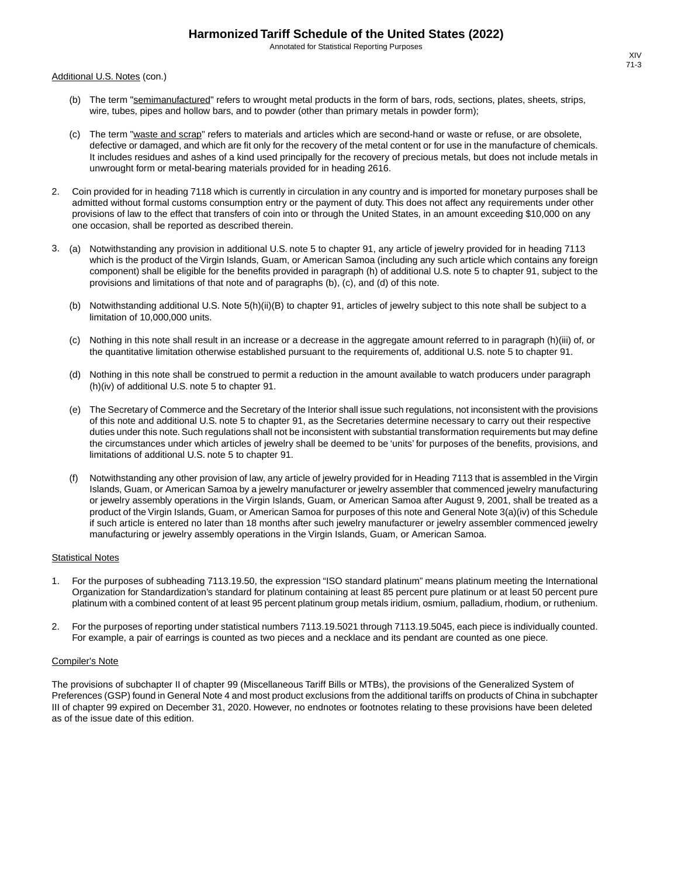Annotated for Statistical Reporting Purposes

Additional U.S. Notes (con.)

- (b) The term "semimanufactured" refers to wrought metal products in the form of bars, rods, sections, plates, sheets, strips, wire, tubes, pipes and hollow bars, and to powder (other than primary metals in powder form);
- (c) The term "waste and scrap" refers to materials and articles which are second-hand or waste or refuse, or are obsolete, defective or damaged, and which are fit only for the recovery of the metal content or for use in the manufacture of chemicals. It includes residues and ashes of a kind used principally for the recovery of precious metals, but does not include metals in unwrought form or metal-bearing materials provided for in heading 2616.
- 2. Coin provided for in heading 7118 which is currently in circulation in any country and is imported for monetary purposes shall be admitted without formal customs consumption entry or the payment of duty. This does not affect any requirements under other provisions of law to the effect that transfers of coin into or through the United States, in an amount exceeding \$10,000 on any one occasion, shall be reported as described therein.
- 3. (a) Notwithstanding any provision in additional U.S. note 5 to chapter 91, any article of jewelry provided for in heading 7113 which is the product of the Virgin Islands, Guam, or American Samoa (including any such article which contains any foreign component) shall be eligible for the benefits provided in paragraph (h) of additional U.S. note 5 to chapter 91, subject to the provisions and limitations of that note and of paragraphs (b), (c), and (d) of this note.
	- (b) Notwithstanding additional U.S. Note 5(h)(ii)(B) to chapter 91, articles of jewelry subject to this note shall be subject to a limitation of 10,000,000 units.
	- (c) Nothing in this note shall result in an increase or a decrease in the aggregate amount referred to in paragraph (h)(iii) of, or the quantitative limitation otherwise established pursuant to the requirements of, additional U.S. note 5 to chapter 91.
	- (d) Nothing in this note shall be construed to permit a reduction in the amount available to watch producers under paragraph (h)(iv) of additional U.S. note 5 to chapter 91.
	- (e) The Secretary of Commerce and the Secretary of the Interior shall issue such regulations, not inconsistent with the provisions of this note and additional U.S. note 5 to chapter 91, as the Secretaries determine necessary to carry out their respective duties under this note. Such regulations shall not be inconsistent with substantial transformation requirements but may define the circumstances under which articles of jewelry shall be deemed to be 'units' for purposes of the benefits, provisions, and limitations of additional U.S. note 5 to chapter 91.
	- (f) Notwithstanding any other provision of law, any article of jewelry provided for in Heading 7113 that is assembled in the Virgin Islands, Guam, or American Samoa by a jewelry manufacturer or jewelry assembler that commenced jewelry manufacturing or jewelry assembly operations in the Virgin Islands, Guam, or American Samoa after August 9, 2001, shall be treated as a product of the Virgin Islands, Guam, or American Samoa for purposes of this note and General Note 3(a)(iv) of this Schedule if such article is entered no later than 18 months after such jewelry manufacturer or jewelry assembler commenced jewelry manufacturing or jewelry assembly operations in the Virgin Islands, Guam, or American Samoa.

#### Statistical Notes

- 1. For the purposes of subheading 7113.19.50, the expression "ISO standard platinum" means platinum meeting the International Organization for Standardization's standard for platinum containing at least 85 percent pure platinum or at least 50 percent pure platinum with a combined content of at least 95 percent platinum group metals iridium, osmium, palladium, rhodium, or ruthenium.
- 2. For the purposes of reporting under statistical numbers 7113.19.5021 through 7113.19.5045, each piece is individually counted. For example, a pair of earrings is counted as two pieces and a necklace and its pendant are counted as one piece.

#### Compiler's Note

The provisions of subchapter II of chapter 99 (Miscellaneous Tariff Bills or MTBs), the provisions of the Generalized System of Preferences (GSP) found in General Note 4 and most product exclusions from the additional tariffs on products of China in subchapter III of chapter 99 expired on December 31, 2020. However, no endnotes or footnotes relating to these provisions have been deleted as of the issue date of this edition.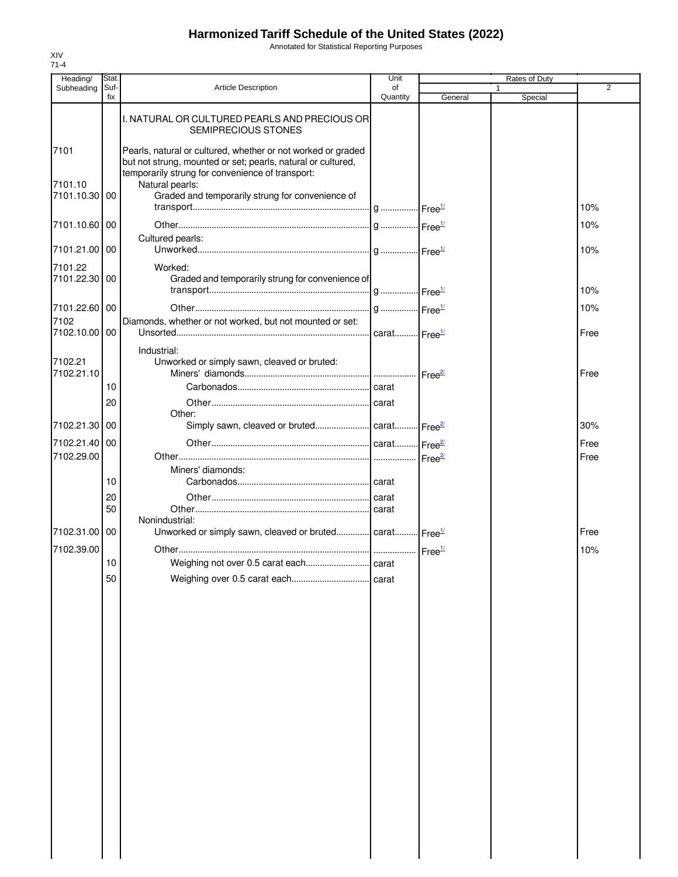Annotated for Statistical Reporting Purposes

| Heading/                 | Stat.       |                                                                                                                                                                                  | Unit           |         | Rates of Duty           |                |
|--------------------------|-------------|----------------------------------------------------------------------------------------------------------------------------------------------------------------------------------|----------------|---------|-------------------------|----------------|
| Subheading               | Suf-<br>fix | <b>Article Description</b>                                                                                                                                                       | of<br>Quantity | General | $\mathbf{1}$<br>Special | $\overline{2}$ |
|                          |             | I. NATURAL OR CULTURED PEARLS AND PRECIOUS OR<br>SEMIPRECIOUS STONES                                                                                                             |                |         |                         |                |
| 7101                     |             | Pearls, natural or cultured, whether or not worked or graded<br>but not strung, mounted or set; pearls, natural or cultured,<br>temporarily strung for convenience of transport: |                |         |                         |                |
| 7101.10<br>7101.10.30 00 |             | Natural pearls:<br>Graded and temporarily strung for convenience of                                                                                                              |                |         |                         | 10%            |
| 7101.10.60 00            |             |                                                                                                                                                                                  |                |         |                         | 10%            |
| 7101.21.00 00            |             | Cultured pearls:                                                                                                                                                                 |                |         |                         | 10%            |
| 7101.22                  |             | Worked:                                                                                                                                                                          |                |         |                         |                |
| 7101.22.30 00            |             | Graded and temporarily strung for convenience of                                                                                                                                 |                |         |                         | 10%            |
| 7101.22.60 00            |             |                                                                                                                                                                                  |                |         |                         | 10%            |
| 7102<br>7102.10.00 00    |             | Diamonds, whether or not worked, but not mounted or set:                                                                                                                         |                |         |                         | Free           |
|                          |             | Industrial:                                                                                                                                                                      |                |         |                         |                |
| 7102.21<br>7102.21.10    |             | Unworked or simply sawn, cleaved or bruted:                                                                                                                                      |                |         |                         | Free           |
|                          | 10          |                                                                                                                                                                                  |                |         |                         |                |
|                          | 20          |                                                                                                                                                                                  |                |         |                         |                |
| 7102.21.30 00            |             | Other:                                                                                                                                                                           |                |         |                         | 30%            |
| 7102.21.40 00            |             |                                                                                                                                                                                  |                |         |                         | Free           |
| 7102.29.00               |             |                                                                                                                                                                                  |                |         |                         | Free           |
|                          | 10          | Miners' diamonds:                                                                                                                                                                |                |         |                         |                |
|                          | 20          |                                                                                                                                                                                  |                |         |                         |                |
|                          | 50          |                                                                                                                                                                                  |                |         |                         |                |
|                          |             | Nonindustrial:                                                                                                                                                                   |                |         |                         |                |
| 7102.31.00 00            |             | Unworked or simply sawn, cleaved or bruted carat Free <sup>1/</sup>                                                                                                              |                |         |                         | Free           |
| 7102.39.00               |             |                                                                                                                                                                                  |                |         |                         | 10%            |
|                          | 10          |                                                                                                                                                                                  |                |         |                         |                |
|                          | 50          |                                                                                                                                                                                  | carat          |         |                         |                |
|                          |             |                                                                                                                                                                                  |                |         |                         |                |
|                          |             |                                                                                                                                                                                  |                |         |                         |                |
|                          |             |                                                                                                                                                                                  |                |         |                         |                |
|                          |             |                                                                                                                                                                                  |                |         |                         |                |
|                          |             |                                                                                                                                                                                  |                |         |                         |                |
|                          |             |                                                                                                                                                                                  |                |         |                         |                |
|                          |             |                                                                                                                                                                                  |                |         |                         |                |
|                          |             |                                                                                                                                                                                  |                |         |                         |                |
|                          |             |                                                                                                                                                                                  |                |         |                         |                |
|                          |             |                                                                                                                                                                                  |                |         |                         |                |
|                          |             |                                                                                                                                                                                  |                |         |                         |                |
|                          |             |                                                                                                                                                                                  |                |         |                         |                |
|                          |             |                                                                                                                                                                                  |                |         |                         |                |
|                          |             |                                                                                                                                                                                  |                |         |                         |                |
|                          |             |                                                                                                                                                                                  |                |         |                         |                |
|                          |             |                                                                                                                                                                                  |                |         |                         |                |
|                          |             |                                                                                                                                                                                  |                |         |                         |                |
|                          |             |                                                                                                                                                                                  |                |         |                         |                |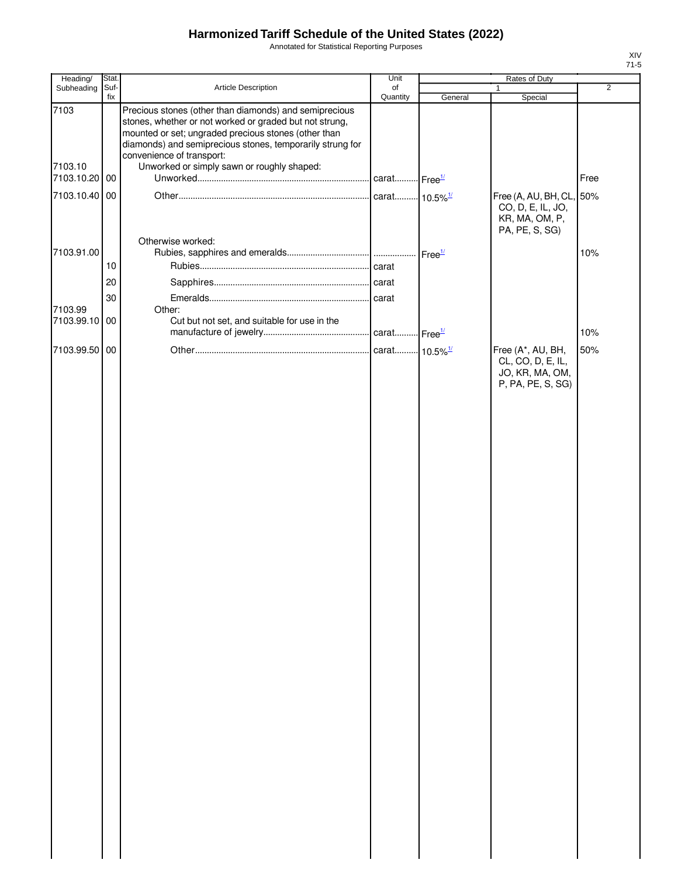Annotated for Statistical Reporting Purposes

| Heading/                 | Stat.       |                                                                                                                                                                                                                                                                     | Unit                      |                    | Rates of Duty                                             |                |
|--------------------------|-------------|---------------------------------------------------------------------------------------------------------------------------------------------------------------------------------------------------------------------------------------------------------------------|---------------------------|--------------------|-----------------------------------------------------------|----------------|
| Subheading               | Suf-<br>fix | Article Description                                                                                                                                                                                                                                                 | of<br>Quantity            |                    | 1                                                         | $\overline{2}$ |
| 7103                     |             | Precious stones (other than diamonds) and semiprecious<br>stones, whether or not worked or graded but not strung,<br>mounted or set; ungraded precious stones (other than<br>diamonds) and semiprecious stones, temporarily strung for<br>convenience of transport: |                           | General            | Special                                                   |                |
| 7103.10<br>7103.10.20 00 |             | Unworked or simply sawn or roughly shaped:                                                                                                                                                                                                                          |                           |                    |                                                           | Free           |
| 7103.10.40 00            |             |                                                                                                                                                                                                                                                                     | carat 10.5% <sup>1/</sup> |                    | Free (A, AU, BH, CL, 50%                                  |                |
|                          |             |                                                                                                                                                                                                                                                                     |                           |                    | CO, D, E, IL, JO,<br>KR, MA, OM, P,<br>PA, PE, S, SG)     |                |
| 7103.91.00               |             | Otherwise worked:                                                                                                                                                                                                                                                   |                           | Free <sup>1/</sup> |                                                           | 10%            |
|                          | 10          |                                                                                                                                                                                                                                                                     |                           |                    |                                                           |                |
|                          | 20          |                                                                                                                                                                                                                                                                     |                           |                    |                                                           |                |
|                          |             |                                                                                                                                                                                                                                                                     |                           |                    |                                                           |                |
| 7103.99                  | 30          | Other:                                                                                                                                                                                                                                                              |                           |                    |                                                           |                |
| 7103.99.10               | 00          | Cut but not set, and suitable for use in the                                                                                                                                                                                                                        | carat Free <sup>1/</sup>  |                    |                                                           | 10%            |
| 7103.99.50 00            |             |                                                                                                                                                                                                                                                                     | carat 10.5% <sup>1/</sup> |                    | Free (A*, AU, BH,                                         | 50%            |
|                          |             |                                                                                                                                                                                                                                                                     |                           |                    | CL, CO, D, E, IL,<br>JO, KR, MA, OM,<br>P, PA, PE, S, SG) |                |
|                          |             |                                                                                                                                                                                                                                                                     |                           |                    |                                                           |                |
|                          |             |                                                                                                                                                                                                                                                                     |                           |                    |                                                           |                |
|                          |             |                                                                                                                                                                                                                                                                     |                           |                    |                                                           |                |
|                          |             |                                                                                                                                                                                                                                                                     |                           |                    |                                                           |                |
|                          |             |                                                                                                                                                                                                                                                                     |                           |                    |                                                           |                |
|                          |             |                                                                                                                                                                                                                                                                     |                           |                    |                                                           |                |
|                          |             |                                                                                                                                                                                                                                                                     |                           |                    |                                                           |                |
|                          |             |                                                                                                                                                                                                                                                                     |                           |                    |                                                           |                |
|                          |             |                                                                                                                                                                                                                                                                     |                           |                    |                                                           |                |
|                          |             |                                                                                                                                                                                                                                                                     |                           |                    |                                                           |                |
|                          |             |                                                                                                                                                                                                                                                                     |                           |                    |                                                           |                |
|                          |             |                                                                                                                                                                                                                                                                     |                           |                    |                                                           |                |
|                          |             |                                                                                                                                                                                                                                                                     |                           |                    |                                                           |                |
|                          |             |                                                                                                                                                                                                                                                                     |                           |                    |                                                           |                |
|                          |             |                                                                                                                                                                                                                                                                     |                           |                    |                                                           |                |
|                          |             |                                                                                                                                                                                                                                                                     |                           |                    |                                                           |                |
|                          |             |                                                                                                                                                                                                                                                                     |                           |                    |                                                           |                |
|                          |             |                                                                                                                                                                                                                                                                     |                           |                    |                                                           |                |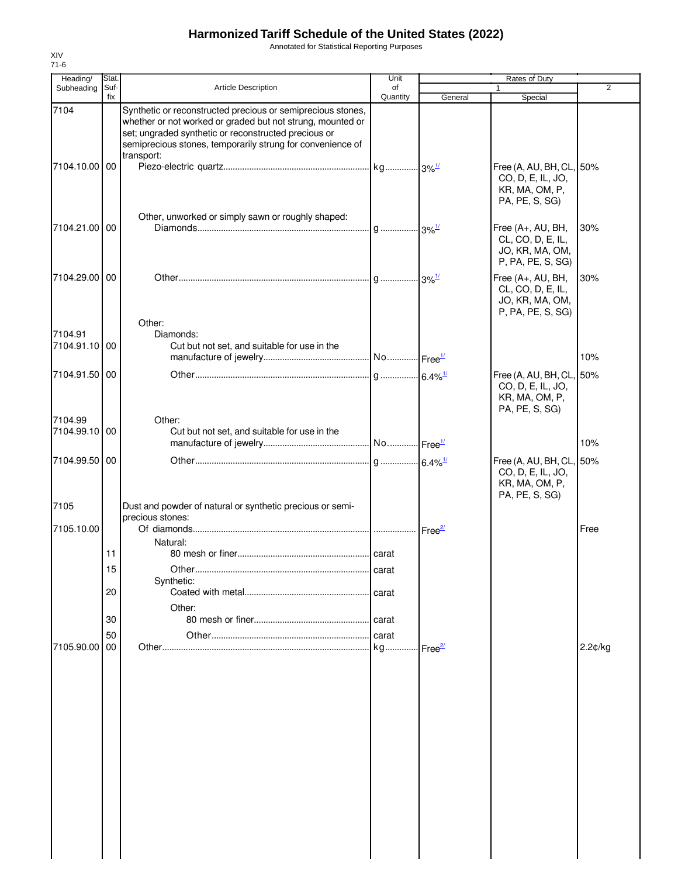Annotated for Statistical Reporting Purposes

| Heading/                 | Stat.       |                                                                                                                                                                                                                                                 | Unit           |                            | Rates of Duty                                                                     |                |
|--------------------------|-------------|-------------------------------------------------------------------------------------------------------------------------------------------------------------------------------------------------------------------------------------------------|----------------|----------------------------|-----------------------------------------------------------------------------------|----------------|
| Subheading               | Suf-<br>fix | <b>Article Description</b>                                                                                                                                                                                                                      | of<br>Quantity | General                    | Special                                                                           | $\overline{2}$ |
| 7104                     |             | Synthetic or reconstructed precious or semiprecious stones,<br>whether or not worked or graded but not strung, mounted or<br>set; ungraded synthetic or reconstructed precious or<br>semiprecious stones, temporarily strung for convenience of |                |                            |                                                                                   |                |
| 7104.10.00 00            |             | transport:                                                                                                                                                                                                                                      |                |                            | Free (A, AU, BH, CL, 50%<br>CO, D, E, IL, JO,<br>KR, MA, OM, P,<br>PA, PE, S, SG) |                |
| 7104.21.00 00            |             | Other, unworked or simply sawn or roughly shaped:                                                                                                                                                                                               |                |                            | Free (A+, AU, BH,<br>CL, CO, D, E, IL,<br>JO, KR, MA, OM,<br>P, PA, PE, S, SG)    | 30%            |
| 7104.29.00 00            |             |                                                                                                                                                                                                                                                 |                |                            | Free (A+, AU, BH,<br>CL, CO, D, E, IL,<br>JO, KR, MA, OM,<br>P, PA, PE, S, SG)    | 30%            |
|                          |             | Other:                                                                                                                                                                                                                                          |                |                            |                                                                                   |                |
| 7104.91<br>7104.91.10 00 |             | Diamonds:<br>Cut but not set, and suitable for use in the                                                                                                                                                                                       |                |                            |                                                                                   |                |
|                          |             |                                                                                                                                                                                                                                                 |                |                            |                                                                                   | 10%            |
| 7104.91.50 00            |             |                                                                                                                                                                                                                                                 |                |                            | Free (A, AU, BH, CL, 50%<br>CO, D, E, IL, JO,<br>KR, MA, OM, P,<br>PA, PE, S, SG) |                |
| 7104.99                  |             | Other:                                                                                                                                                                                                                                          |                |                            |                                                                                   |                |
| 7104.99.10 00            |             | Cut but not set, and suitable for use in the                                                                                                                                                                                                    |                |                            |                                                                                   | 10%            |
|                          |             |                                                                                                                                                                                                                                                 |                |                            |                                                                                   |                |
| 7104.99.50 00            |             |                                                                                                                                                                                                                                                 |                |                            | Free (A, AU, BH, CL, 50%<br>CO, D, E, IL, JO,<br>KR, MA, OM, P,<br>PA, PE, S, SG) |                |
| 7105                     |             | Dust and powder of natural or synthetic precious or semi-<br>precious stones:                                                                                                                                                                   |                |                            |                                                                                   |                |
| 7105.10.00               |             |                                                                                                                                                                                                                                                 |                |                            |                                                                                   | Free           |
|                          | 11          | Natural:                                                                                                                                                                                                                                        |                |                            |                                                                                   |                |
|                          | 15          |                                                                                                                                                                                                                                                 | carat          |                            |                                                                                   |                |
|                          |             | Synthetic:                                                                                                                                                                                                                                      |                |                            |                                                                                   |                |
|                          | 20          |                                                                                                                                                                                                                                                 |                |                            |                                                                                   |                |
|                          | 30          | Other:                                                                                                                                                                                                                                          |                |                            |                                                                                   |                |
|                          | 50          |                                                                                                                                                                                                                                                 |                |                            |                                                                                   |                |
| 7105.90.00               | 00          |                                                                                                                                                                                                                                                 |                | $\cdot$ Free <sup>2/</sup> |                                                                                   | $2.2$ ¢/kg     |
|                          |             |                                                                                                                                                                                                                                                 |                |                            |                                                                                   |                |
|                          |             |                                                                                                                                                                                                                                                 |                |                            |                                                                                   |                |
|                          |             |                                                                                                                                                                                                                                                 |                |                            |                                                                                   |                |
|                          |             |                                                                                                                                                                                                                                                 |                |                            |                                                                                   |                |
|                          |             |                                                                                                                                                                                                                                                 |                |                            |                                                                                   |                |
|                          |             |                                                                                                                                                                                                                                                 |                |                            |                                                                                   |                |
|                          |             |                                                                                                                                                                                                                                                 |                |                            |                                                                                   |                |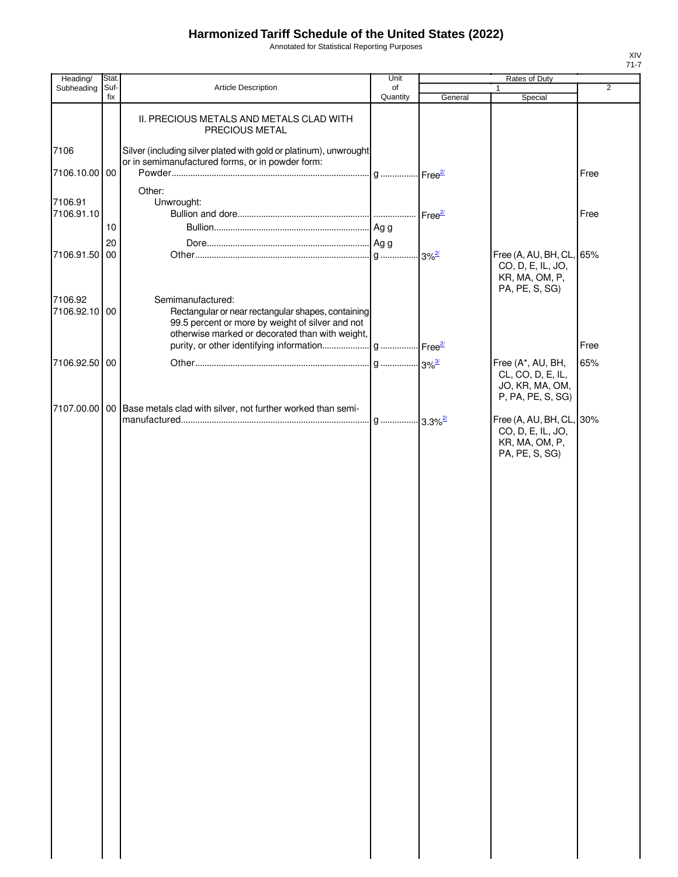Annotated for Statistical Reporting Purposes

| Heading/                 | Stat.       |                                                                                                                                                                                | Unit           |                    | Rates of Duty                                                                     |                |
|--------------------------|-------------|--------------------------------------------------------------------------------------------------------------------------------------------------------------------------------|----------------|--------------------|-----------------------------------------------------------------------------------|----------------|
| Subheading               | Suf-<br>fix | <b>Article Description</b>                                                                                                                                                     | of<br>Quantity | General            | $\mathbf{1}$<br>Special                                                           | $\overline{2}$ |
|                          |             | II. PRECIOUS METALS AND METALS CLAD WITH<br>PRECIOUS METAL                                                                                                                     |                |                    |                                                                                   |                |
| 7106                     |             | Silver (including silver plated with gold or platinum), unwrought<br>or in semimanufactured forms, or in powder form:                                                          |                |                    |                                                                                   |                |
| 7106.10.00 00            |             |                                                                                                                                                                                |                |                    |                                                                                   | Free           |
| 7106.91<br>7106.91.10    |             | Other:<br>Unwrought:                                                                                                                                                           |                | Free <sup>2/</sup> |                                                                                   | Free           |
|                          | 10          |                                                                                                                                                                                |                |                    |                                                                                   |                |
| 7106.91.50               | 20<br>00    |                                                                                                                                                                                |                |                    | Free (A, AU, BH, CL, 65%<br>CO, D, E, IL, JO,<br>KR, MA, OM, P,<br>PA, PE, S, SG) |                |
| 7106.92<br>7106.92.10 00 |             | Semimanufactured:<br>Rectangular or near rectangular shapes, containing<br>99.5 percent or more by weight of silver and not<br>otherwise marked or decorated than with weight, |                |                    |                                                                                   | Free           |
|                          |             |                                                                                                                                                                                |                |                    |                                                                                   |                |
| 7106.92.50               | 00          |                                                                                                                                                                                |                |                    | Free (A*, AU, BH,<br>CL, CO, D, E, IL,<br>JO, KR, MA, OM,<br>P, PA, PE, S, SG)    | 65%            |
|                          |             | 7107.00.00 00 Base metals clad with silver, not further worked than semi-                                                                                                      |                |                    | Free (A, AU, BH, CL,<br>CO, D, E, IL, JO,<br>KR, MA, OM, P,<br>PA, PE, S, SG)     | 30%            |
|                          |             |                                                                                                                                                                                |                |                    |                                                                                   |                |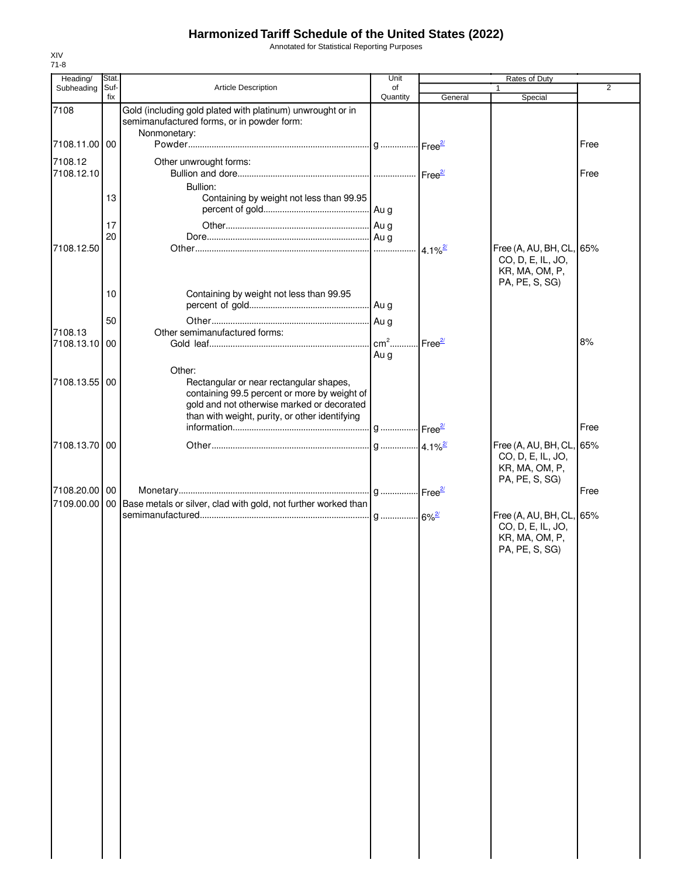Annotated for Statistical Reporting Purposes

| Stat.         |                                                                                                                                                                                                   | Unit                                                                                                                    |                                                                                                                        | Rates of Duty                                         |                                                                                             |
|---------------|---------------------------------------------------------------------------------------------------------------------------------------------------------------------------------------------------|-------------------------------------------------------------------------------------------------------------------------|------------------------------------------------------------------------------------------------------------------------|-------------------------------------------------------|---------------------------------------------------------------------------------------------|
| Suf-          |                                                                                                                                                                                                   | of                                                                                                                      |                                                                                                                        | 1                                                     | 2                                                                                           |
|               | Gold (including gold plated with platinum) unwrought or in<br>semimanufactured forms, or in powder form:                                                                                          |                                                                                                                         |                                                                                                                        |                                                       |                                                                                             |
| 7108.11.00 00 |                                                                                                                                                                                                   |                                                                                                                         |                                                                                                                        |                                                       | Free                                                                                        |
|               | Other unwrought forms:                                                                                                                                                                            |                                                                                                                         |                                                                                                                        |                                                       |                                                                                             |
|               |                                                                                                                                                                                                   |                                                                                                                         |                                                                                                                        |                                                       | Free                                                                                        |
|               | Bullion:                                                                                                                                                                                          |                                                                                                                         |                                                                                                                        |                                                       |                                                                                             |
|               |                                                                                                                                                                                                   |                                                                                                                         |                                                                                                                        |                                                       |                                                                                             |
|               |                                                                                                                                                                                                   |                                                                                                                         |                                                                                                                        |                                                       |                                                                                             |
|               |                                                                                                                                                                                                   |                                                                                                                         |                                                                                                                        |                                                       |                                                                                             |
|               |                                                                                                                                                                                                   |                                                                                                                         |                                                                                                                        |                                                       |                                                                                             |
|               |                                                                                                                                                                                                   |                                                                                                                         |                                                                                                                        | CO, D, E, IL, JO,<br>KR, MA, OM, P,<br>PA, PE, S, SG) |                                                                                             |
|               |                                                                                                                                                                                                   |                                                                                                                         |                                                                                                                        |                                                       |                                                                                             |
|               |                                                                                                                                                                                                   |                                                                                                                         |                                                                                                                        |                                                       |                                                                                             |
|               |                                                                                                                                                                                                   |                                                                                                                         |                                                                                                                        |                                                       |                                                                                             |
| 7108.13.10 00 |                                                                                                                                                                                                   | $cm2$ .                                                                                                                 |                                                                                                                        |                                                       | 8%                                                                                          |
|               |                                                                                                                                                                                                   | Au g                                                                                                                    |                                                                                                                        |                                                       |                                                                                             |
| 7108.13.55 00 | Other:<br>Rectangular or near rectangular shapes,<br>containing 99.5 percent or more by weight of<br>gold and not otherwise marked or decorated<br>than with weight, purity, or other identifying |                                                                                                                         |                                                                                                                        |                                                       | Free                                                                                        |
|               |                                                                                                                                                                                                   |                                                                                                                         |                                                                                                                        |                                                       |                                                                                             |
|               |                                                                                                                                                                                                   |                                                                                                                         |                                                                                                                        | CO, D, E, IL, JO,<br>KR, MA, OM, P,<br>PA, PE, S, SG) |                                                                                             |
|               |                                                                                                                                                                                                   |                                                                                                                         |                                                                                                                        |                                                       | Free                                                                                        |
| 7109.00.00    |                                                                                                                                                                                                   |                                                                                                                         |                                                                                                                        |                                                       |                                                                                             |
|               |                                                                                                                                                                                                   |                                                                                                                         |                                                                                                                        | CO, D, E, IL, JO,<br>KR, MA, OM, P,<br>PA, PE, S, SG) |                                                                                             |
|               | fix<br>13<br>17<br>20<br>10<br>50<br>7108.13.70 00<br>7108.20.00 00<br>00                                                                                                                         | <b>Article Description</b><br>Nonmonetary:<br>Containing by weight not less than 99.95<br>Other semimanufactured forms: | Quantity<br>Containing by weight not less than 99.95<br>Base metals or silver, clad with gold, not further worked than | General<br>Free $\frac{2}{3}$                         | Special<br>Free (A, AU, BH, CL, 65%<br>Free (A, AU, BH, CL, 65%<br>Free (A, AU, BH, CL, 65% |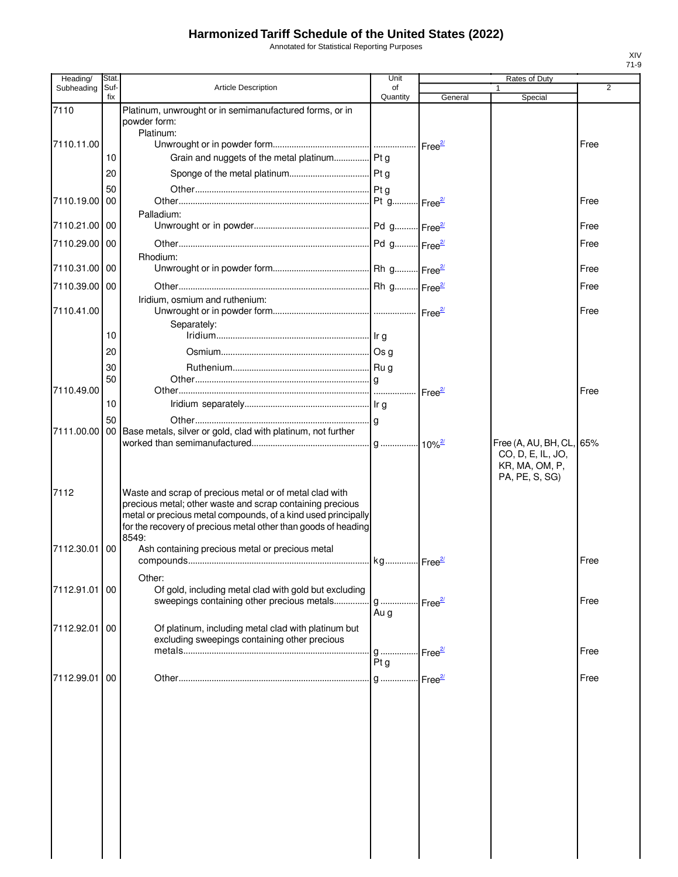Annotated for Statistical Reporting Purposes

| Heading/      | Stat.       |                                                                                                                                                                                                                                                                  | Unit                  |                    | Rates of Duty                                                                 |      |
|---------------|-------------|------------------------------------------------------------------------------------------------------------------------------------------------------------------------------------------------------------------------------------------------------------------|-----------------------|--------------------|-------------------------------------------------------------------------------|------|
| Subheading    | Suf-<br>fix | Article Description                                                                                                                                                                                                                                              | οf<br>Quantity        | General            | Special                                                                       | 2    |
| 7110          |             | Platinum, unwrought or in semimanufactured forms, or in<br>powder form:                                                                                                                                                                                          |                       |                    |                                                                               |      |
| 7110.11.00    |             | Platinum:                                                                                                                                                                                                                                                        |                       |                    |                                                                               | Free |
|               | 10          |                                                                                                                                                                                                                                                                  |                       |                    |                                                                               |      |
|               | 20          |                                                                                                                                                                                                                                                                  |                       |                    |                                                                               |      |
|               | 50          |                                                                                                                                                                                                                                                                  |                       |                    |                                                                               |      |
| 7110.19.00    | 00          |                                                                                                                                                                                                                                                                  |                       |                    |                                                                               | Free |
| 7110.21.00 00 |             | Palladium:                                                                                                                                                                                                                                                       |                       |                    |                                                                               | Free |
|               |             |                                                                                                                                                                                                                                                                  |                       |                    |                                                                               |      |
| 7110.29.00 00 |             | Rhodium:                                                                                                                                                                                                                                                         |                       |                    |                                                                               | Free |
| 7110.31.00 00 |             |                                                                                                                                                                                                                                                                  |                       |                    |                                                                               | Free |
| 7110.39.00 00 |             |                                                                                                                                                                                                                                                                  |                       |                    |                                                                               | Free |
|               |             | Iridium, osmium and ruthenium:                                                                                                                                                                                                                                   |                       |                    |                                                                               |      |
| 7110.41.00    |             |                                                                                                                                                                                                                                                                  |                       |                    |                                                                               | Free |
|               | 10          | Separately:                                                                                                                                                                                                                                                      |                       |                    |                                                                               |      |
|               | 20          |                                                                                                                                                                                                                                                                  |                       |                    |                                                                               |      |
|               | 30          |                                                                                                                                                                                                                                                                  |                       |                    |                                                                               |      |
|               | 50          |                                                                                                                                                                                                                                                                  |                       |                    |                                                                               |      |
| 7110.49.00    |             |                                                                                                                                                                                                                                                                  |                       |                    |                                                                               | Free |
|               | 10          |                                                                                                                                                                                                                                                                  |                       |                    |                                                                               |      |
| 7111.00.00    | 50          | 00 Base metals, silver or gold, clad with platinum, not further                                                                                                                                                                                                  |                       |                    |                                                                               |      |
|               |             |                                                                                                                                                                                                                                                                  |                       |                    | Free (A, AU, BH, CL,<br>CO, D, E, IL, JO,<br>KR, MA, OM, P,<br>PA, PE, S, SG) | 65%  |
| 7112          |             | Waste and scrap of precious metal or of metal clad with<br>precious metal; other waste and scrap containing precious<br>metal or precious metal compounds, of a kind used principally<br>for the recovery of precious metal other than goods of heading<br>8549: |                       |                    |                                                                               |      |
| 7112.30.01    | 00          | Ash containing precious metal or precious metal                                                                                                                                                                                                                  |                       |                    |                                                                               | Free |
| 7112.91.01    | 00          | Other:<br>Of gold, including metal clad with gold but excluding<br>sweepings containing other precious metals                                                                                                                                                    | g                     | Free <sup>27</sup> |                                                                               | Free |
| 7112.92.01    | 00          | Of platinum, including metal clad with platinum but                                                                                                                                                                                                              | Au g                  |                    |                                                                               |      |
|               |             | excluding sweepings containing other precious                                                                                                                                                                                                                    |                       |                    |                                                                               |      |
|               |             |                                                                                                                                                                                                                                                                  | g  Free <sup>21</sup> |                    |                                                                               | Free |
|               |             |                                                                                                                                                                                                                                                                  | Pt g                  |                    |                                                                               |      |
| 7112.99.01    | 00          |                                                                                                                                                                                                                                                                  | g  Free <sup>2/</sup> |                    |                                                                               | Free |
|               |             |                                                                                                                                                                                                                                                                  |                       |                    |                                                                               |      |
|               |             |                                                                                                                                                                                                                                                                  |                       |                    |                                                                               |      |
|               |             |                                                                                                                                                                                                                                                                  |                       |                    |                                                                               |      |
|               |             |                                                                                                                                                                                                                                                                  |                       |                    |                                                                               |      |
|               |             |                                                                                                                                                                                                                                                                  |                       |                    |                                                                               |      |
|               |             |                                                                                                                                                                                                                                                                  |                       |                    |                                                                               |      |
|               |             |                                                                                                                                                                                                                                                                  |                       |                    |                                                                               |      |
|               |             |                                                                                                                                                                                                                                                                  |                       |                    |                                                                               |      |
|               |             |                                                                                                                                                                                                                                                                  |                       |                    |                                                                               |      |
|               |             |                                                                                                                                                                                                                                                                  |                       |                    |                                                                               |      |
|               |             |                                                                                                                                                                                                                                                                  |                       |                    |                                                                               |      |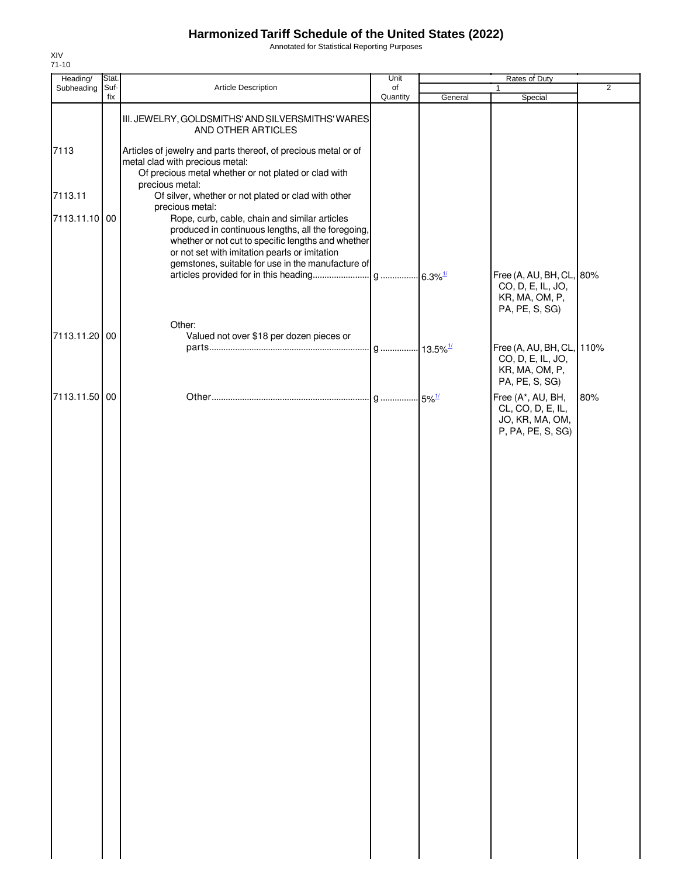Annotated for Statistical Reporting Purposes

| Heading/      | Stat.       |                                                                                                                                                                                                                | Unit           | Rates of Duty |                                                                                    | $\overline{2}$ |  |
|---------------|-------------|----------------------------------------------------------------------------------------------------------------------------------------------------------------------------------------------------------------|----------------|---------------|------------------------------------------------------------------------------------|----------------|--|
| Subheading    | Suf-<br>fix | Article Description                                                                                                                                                                                            | of<br>Quantity | General       | $\mathbf{1}$<br>Special                                                            |                |  |
|               |             | III. JEWELRY, GOLDSMITHS' AND SILVERSMITHS' WARES<br>AND OTHER ARTICLES                                                                                                                                        |                |               |                                                                                    |                |  |
| 7113          |             | Articles of jewelry and parts thereof, of precious metal or of<br>metal clad with precious metal:<br>Of precious metal whether or not plated or clad with                                                      |                |               |                                                                                    |                |  |
| 7113.11       |             | precious metal:<br>Of silver, whether or not plated or clad with other                                                                                                                                         |                |               |                                                                                    |                |  |
| 7113.11.10 00 |             | precious metal:<br>Rope, curb, cable, chain and similar articles                                                                                                                                               |                |               |                                                                                    |                |  |
|               |             | produced in continuous lengths, all the foregoing,<br>whether or not cut to specific lengths and whether<br>or not set with imitation pearls or imitation<br>gemstones, suitable for use in the manufacture of |                |               |                                                                                    |                |  |
|               |             |                                                                                                                                                                                                                |                |               | Free (A, AU, BH, CL, 80%<br>CO, D, E, IL, JO,<br>KR, MA, OM, P,<br>PA, PE, S, SG)  |                |  |
| 7113.11.20 00 |             | Other:<br>Valued not over \$18 per dozen pieces or                                                                                                                                                             |                |               |                                                                                    |                |  |
|               |             |                                                                                                                                                                                                                |                |               | Free (A, AU, BH, CL, 110%<br>CO, D, E, IL, JO,<br>KR, MA, OM, P,<br>PA, PE, S, SG) |                |  |
| 7113.11.50 00 |             |                                                                                                                                                                                                                |                |               | Free (A*, AU, BH,<br>CL, CO, D, E, IL,<br>JO, KR, MA, OM,<br>P, PA, PE, S, SG)     | 80%            |  |
|               |             |                                                                                                                                                                                                                |                |               |                                                                                    |                |  |
|               |             |                                                                                                                                                                                                                |                |               |                                                                                    |                |  |
|               |             |                                                                                                                                                                                                                |                |               |                                                                                    |                |  |
|               |             |                                                                                                                                                                                                                |                |               |                                                                                    |                |  |
|               |             |                                                                                                                                                                                                                |                |               |                                                                                    |                |  |
|               |             |                                                                                                                                                                                                                |                |               |                                                                                    |                |  |
|               |             |                                                                                                                                                                                                                |                |               |                                                                                    |                |  |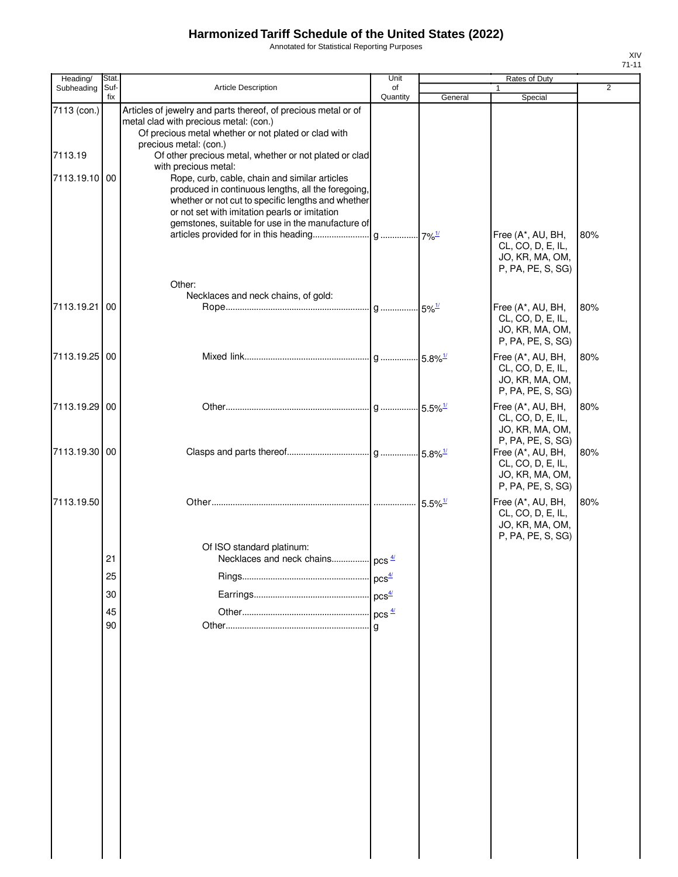Annotated for Statistical Reporting Purposes

| Heading/      | <b>Stat</b> |                                                                                                                                                                                                                                                                 | Unit                                            |         | Rates of Duty                                                                  |                |
|---------------|-------------|-----------------------------------------------------------------------------------------------------------------------------------------------------------------------------------------------------------------------------------------------------------------|-------------------------------------------------|---------|--------------------------------------------------------------------------------|----------------|
| Subheading    | Suf-<br>fix | <b>Article Description</b>                                                                                                                                                                                                                                      | of<br>Quantity                                  | General | Special                                                                        | $\overline{2}$ |
| 7113 (con.)   |             | Articles of jewelry and parts thereof, of precious metal or of<br>metal clad with precious metal: (con.)<br>Of precious metal whether or not plated or clad with                                                                                                |                                                 |         |                                                                                |                |
| 7113.19       |             | precious metal: (con.)<br>Of other precious metal, whether or not plated or clad<br>with precious metal:                                                                                                                                                        |                                                 |         |                                                                                |                |
| 7113.19.10 00 |             | Rope, curb, cable, chain and similar articles<br>produced in continuous lengths, all the foregoing,<br>whether or not cut to specific lengths and whether<br>or not set with imitation pearls or imitation<br>gemstones, suitable for use in the manufacture of |                                                 |         |                                                                                | 80%            |
|               |             |                                                                                                                                                                                                                                                                 |                                                 |         | Free (A*, AU, BH,<br>CL, CO, D, E, IL,<br>JO, KR, MA, OM,<br>P, PA, PE, S, SG) |                |
|               |             | Other:<br>Necklaces and neck chains, of gold:                                                                                                                                                                                                                   |                                                 |         |                                                                                |                |
| 7113.19.21    | 00          |                                                                                                                                                                                                                                                                 |                                                 |         | Free (A*, AU, BH,<br>CL, CO, D, E, IL,<br>JO, KR, MA, OM,<br>P, PA, PE, S, SG) | 80%            |
| 7113.19.25 00 |             |                                                                                                                                                                                                                                                                 |                                                 |         | Free (A*, AU, BH,<br>CL, CO, D, E, IL,<br>JO, KR, MA, OM,<br>P, PA, PE, S, SG) | 80%            |
| 7113.19.29 00 |             |                                                                                                                                                                                                                                                                 |                                                 |         | Free (A*, AU, BH,<br>CL, CO, D, E, IL,<br>JO, KR, MA, OM,<br>P, PA, PE, S, SG) | 80%            |
| 7113.19.30 00 |             |                                                                                                                                                                                                                                                                 |                                                 |         | Free (A*, AU, BH,<br>CL, CO, D, E, IL,<br>JO, KR, MA, OM,<br>P, PA, PE, S, SG) | 80%            |
| 7113.19.50    |             |                                                                                                                                                                                                                                                                 |                                                 |         | Free (A*, AU, BH,<br>CL, CO, D, E, IL,<br>JO, KR, MA, OM,<br>P, PA, PE, S, SG) | 80%            |
|               | 21          | Of ISO standard platinum:<br>Necklaces and neck chains pcs 4/                                                                                                                                                                                                   |                                                 |         |                                                                                |                |
|               | 25          |                                                                                                                                                                                                                                                                 | $pcs^{\frac{4}{2}}$                             |         |                                                                                |                |
|               | 30          |                                                                                                                                                                                                                                                                 | $\cdot$ pcs <sup><math>\frac{4}{2}</math></sup> |         |                                                                                |                |
|               | 45          |                                                                                                                                                                                                                                                                 | $pcs \frac{4}{ }$                               |         |                                                                                |                |
|               | 90          |                                                                                                                                                                                                                                                                 |                                                 |         |                                                                                |                |
|               |             |                                                                                                                                                                                                                                                                 |                                                 |         |                                                                                |                |
|               |             |                                                                                                                                                                                                                                                                 |                                                 |         |                                                                                |                |
|               |             |                                                                                                                                                                                                                                                                 |                                                 |         |                                                                                |                |
|               |             |                                                                                                                                                                                                                                                                 |                                                 |         |                                                                                |                |
|               |             |                                                                                                                                                                                                                                                                 |                                                 |         |                                                                                |                |
|               |             |                                                                                                                                                                                                                                                                 |                                                 |         |                                                                                |                |
|               |             |                                                                                                                                                                                                                                                                 |                                                 |         |                                                                                |                |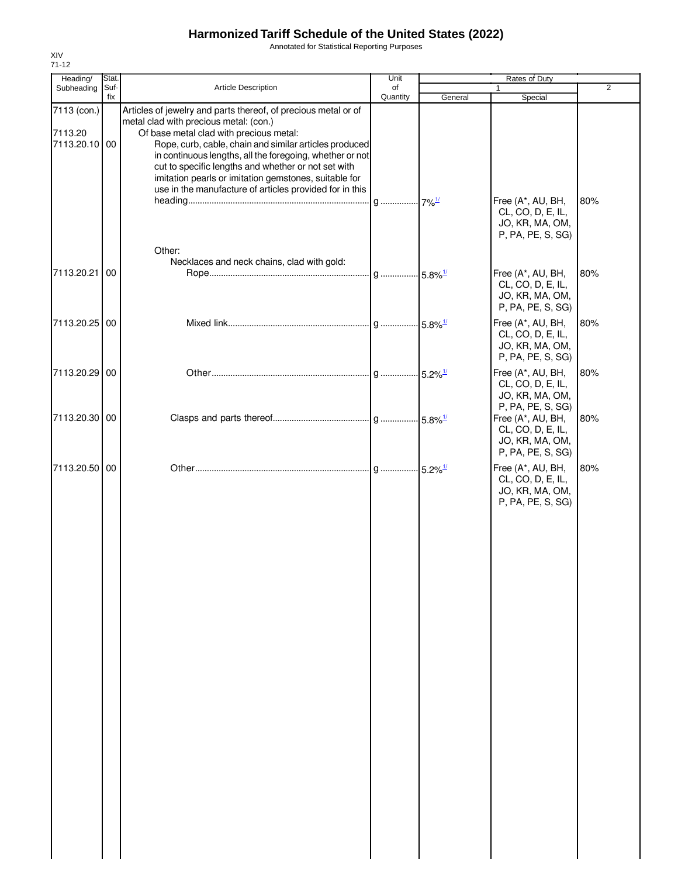Annotated for Statistical Reporting Purposes

| Heading/                                | Stat.       |                                                                                                                                                                                                                                                                                                                                                                                           | Unit           |         | Rates of Duty                                                                  |                |
|-----------------------------------------|-------------|-------------------------------------------------------------------------------------------------------------------------------------------------------------------------------------------------------------------------------------------------------------------------------------------------------------------------------------------------------------------------------------------|----------------|---------|--------------------------------------------------------------------------------|----------------|
| Subheading                              | Suf-<br>fix | Article Description                                                                                                                                                                                                                                                                                                                                                                       | of<br>Quantity | General | 1<br>Special                                                                   | $\overline{2}$ |
| 7113 (con.)<br>7113.20<br>7113.20.10 00 |             | Articles of jewelry and parts thereof, of precious metal or of<br>metal clad with precious metal: (con.)<br>Of base metal clad with precious metal:<br>Rope, curb, cable, chain and similar articles produced<br>in continuous lengths, all the foregoing, whether or not<br>cut to specific lengths and whether or not set with<br>imitation pearls or imitation gemstones, suitable for |                |         |                                                                                |                |
|                                         |             | use in the manufacture of articles provided for in this<br>Other:<br>Necklaces and neck chains, clad with gold:                                                                                                                                                                                                                                                                           |                |         | Free (A*, AU, BH,<br>CL, CO, D, E, IL,<br>JO, KR, MA, OM,<br>P, PA, PE, S, SG) | 80%            |
| 7113.20.21                              | 00          |                                                                                                                                                                                                                                                                                                                                                                                           |                |         | Free (A*, AU, BH,<br>CL, CO, D, E, IL,<br>JO, KR, MA, OM,<br>P, PA, PE, S, SG) | 80%            |
| 7113.20.25 00                           |             |                                                                                                                                                                                                                                                                                                                                                                                           |                |         | Free (A*, AU, BH,<br>CL, CO, D, E, IL,<br>JO, KR, MA, OM,<br>P, PA, PE, S, SG) | 80%            |
| 7113.20.29 00                           |             |                                                                                                                                                                                                                                                                                                                                                                                           |                |         | Free (A*, AU, BH,<br>CL, CO, D, E, IL,<br>JO, KR, MA, OM,<br>P, PA, PE, S, SG) | 80%            |
| 7113.20.30 00                           |             |                                                                                                                                                                                                                                                                                                                                                                                           |                |         | Free (A*, AU, BH,<br>CL, CO, D, E, IL,<br>JO, KR, MA, OM,<br>P, PA, PE, S, SG) | 80%            |
| 7113.20.50 00                           |             |                                                                                                                                                                                                                                                                                                                                                                                           |                |         | Free (A*, AU, BH,<br>CL, CO, D, E, IL,<br>JO, KR, MA, OM,<br>P, PA, PE, S, SG) | 80%            |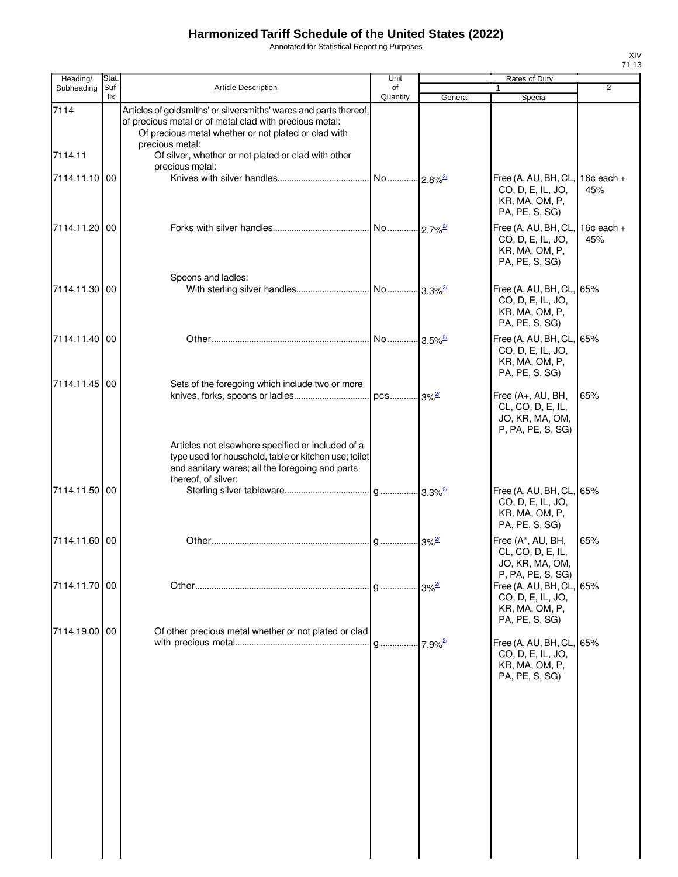Annotated for Statistical Reporting Purposes

| Heading/        | Stat.       |                                                                                                                                                                                                                                                                | Unit                  |         | Rates of Duty                                                                     |                     |
|-----------------|-------------|----------------------------------------------------------------------------------------------------------------------------------------------------------------------------------------------------------------------------------------------------------------|-----------------------|---------|-----------------------------------------------------------------------------------|---------------------|
| Subheading      | Suf-<br>fix | <b>Article Description</b>                                                                                                                                                                                                                                     | of<br>Quantity        | General | 1<br>Special                                                                      | $\overline{2}$      |
| 7114<br>7114.11 |             | Articles of goldsmiths' or silversmiths' wares and parts thereof,<br>of precious metal or of metal clad with precious metal:<br>Of precious metal whether or not plated or clad with<br>precious metal:<br>Of silver, whether or not plated or clad with other |                       |         |                                                                                   |                     |
|                 |             | precious metal:                                                                                                                                                                                                                                                |                       |         |                                                                                   |                     |
| 7114.11.10 00   |             |                                                                                                                                                                                                                                                                | No 2.8% <sup>2/</sup> |         | Free (A, AU, BH, CL,<br>CO, D, E, IL, JO,<br>KR, MA, OM, P,<br>PA, PE, S, SG)     | $16¢$ each +<br>45% |
| 7114.11.20 00   |             |                                                                                                                                                                                                                                                                | No 2.7% <sup>2/</sup> |         | Free (A, AU, BH, CL,<br>CO, D, E, IL, JO,<br>KR, MA, OM, P,<br>PA, PE, S, SG)     | $16¢$ each +<br>45% |
| 7114.11.30 00   |             | Spoons and ladles:                                                                                                                                                                                                                                             |                       |         | Free (A, AU, BH, CL, 65%<br>CO, D, E, IL, JO,<br>KR, MA, OM, P,<br>PA, PE, S, SG) |                     |
| 7114.11.40 00   |             |                                                                                                                                                                                                                                                                |                       |         | Free (A, AU, BH, CL, 65%<br>CO, D, E, IL, JO,<br>KR, MA, OM, P,<br>PA, PE, S, SG) |                     |
| 7114.11.45 00   |             | Sets of the foregoing which include two or more                                                                                                                                                                                                                |                       |         | Free (A+, AU, BH,<br>CL, CO, D, E, IL,<br>JO, KR, MA, OM,<br>P, PA, PE, S, SG)    | 65%                 |
|                 |             | Articles not elsewhere specified or included of a<br>type used for household, table or kitchen use; toilet<br>and sanitary wares; all the foregoing and parts<br>thereof, of silver:                                                                           |                       |         |                                                                                   |                     |
| 7114.11.50 00   |             |                                                                                                                                                                                                                                                                |                       |         | Free (A, AU, BH, CL, 65%<br>CO, D, E, IL, JO,<br>KR, MA, OM, P,<br>PA, PE, S, SG) |                     |
| 7114.11.60 00   |             |                                                                                                                                                                                                                                                                |                       |         | Free (A*, AU, BH,<br>CL, CO, D, E, IL,<br>JO, KR, MA, OM,<br>P, PA, PE, S, SG)    | 65%                 |
| 7114.11.70 00   |             |                                                                                                                                                                                                                                                                |                       |         | Free (A, AU, BH, CL, 65%<br>CO, D, E, IL, JO,<br>KR, MA, OM, P,<br>PA, PE, S, SG) |                     |
| 7114.19.00 00   |             | Of other precious metal whether or not plated or clad                                                                                                                                                                                                          |                       |         | Free (A, AU, BH, CL, 65%<br>CO, D, E, IL, JO,<br>KR, MA, OM, P,<br>PA, PE, S, SG) |                     |
|                 |             |                                                                                                                                                                                                                                                                |                       |         |                                                                                   |                     |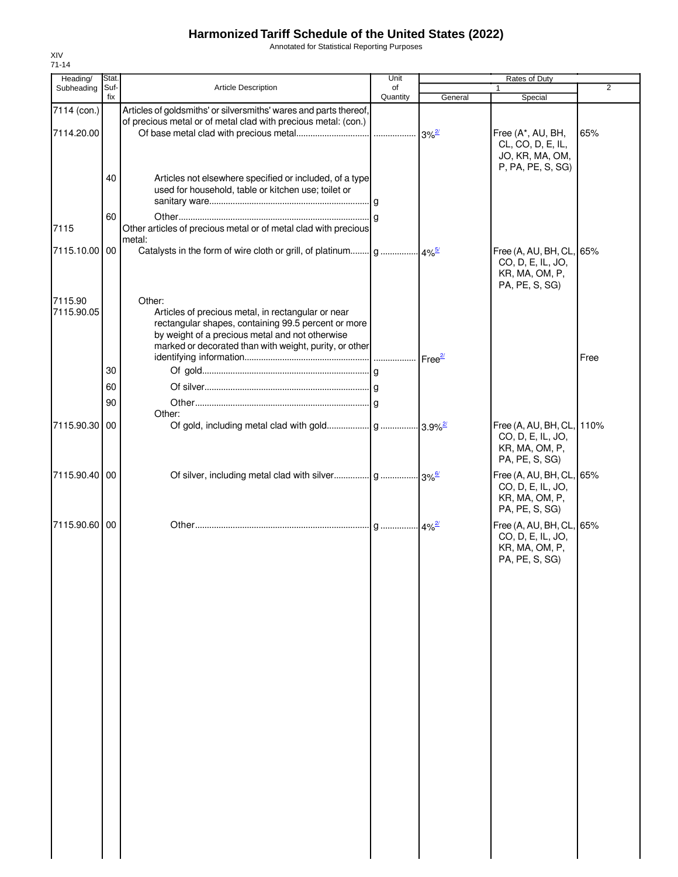Annotated for Statistical Reporting Purposes

| Heading/                  | Stat.       |                                                                                                                                                                                                                                  | Unit           |                    | Rates of Duty                                                                      |      |
|---------------------------|-------------|----------------------------------------------------------------------------------------------------------------------------------------------------------------------------------------------------------------------------------|----------------|--------------------|------------------------------------------------------------------------------------|------|
| Subheading                | Suf-<br>fix | <b>Article Description</b>                                                                                                                                                                                                       | of<br>Quantity | General            | $\mathbf{1}$<br>Special                                                            | 2    |
| 7114 (con.)<br>7114.20.00 |             | Articles of goldsmiths' or silversmiths' wares and parts thereof,<br>of precious metal or of metal clad with precious metal: (con.)                                                                                              |                |                    | Free (A*, AU, BH,<br>CL, CO, D, E, IL,<br>JO, KR, MA, OM,                          | 65%  |
|                           | 40<br>60    | Articles not elsewhere specified or included, of a type<br>used for household, table or kitchen use; toilet or                                                                                                                   |                |                    | P, PA, PE, S, SG)                                                                  |      |
| 7115                      |             | Other articles of precious metal or of metal clad with precious<br>metal:                                                                                                                                                        |                |                    |                                                                                    |      |
| 7115.10.00 00             |             |                                                                                                                                                                                                                                  |                |                    | Free (A, AU, BH, CL, 65%<br>CO, D, E, IL, JO,<br>KR, MA, OM, P,<br>PA, PE, S, SG)  |      |
| 7115.90<br>7115.90.05     |             | Other:<br>Articles of precious metal, in rectangular or near<br>rectangular shapes, containing 99.5 percent or more<br>by weight of a precious metal and not otherwise<br>marked or decorated than with weight, purity, or other |                |                    |                                                                                    |      |
|                           | 30          |                                                                                                                                                                                                                                  |                | Free <sup>2/</sup> |                                                                                    | Free |
|                           | 60          |                                                                                                                                                                                                                                  |                |                    |                                                                                    |      |
|                           | 90          | Other:                                                                                                                                                                                                                           |                |                    |                                                                                    |      |
| 7115.90.30 00             |             |                                                                                                                                                                                                                                  |                |                    | Free (A, AU, BH, CL, 110%<br>CO, D, E, IL, JO,<br>KR, MA, OM, P,<br>PA, PE, S, SG) |      |
| 7115.90.40 00             |             |                                                                                                                                                                                                                                  |                |                    | Free (A, AU, BH, CL, 65%<br>CO, D, E, IL, JO,<br>KR, MA, OM, P,<br>PA, PE, S, SG)  |      |
| 7115.90.60 00             |             |                                                                                                                                                                                                                                  |                |                    | Free (A, AU, BH, CL, 65%<br>CO, D, E, IL, JO,<br>KR, MA, OM, P,<br>PA, PE, S, SG)  |      |
|                           |             |                                                                                                                                                                                                                                  |                |                    |                                                                                    |      |
|                           |             |                                                                                                                                                                                                                                  |                |                    |                                                                                    |      |
|                           |             |                                                                                                                                                                                                                                  |                |                    |                                                                                    |      |
|                           |             |                                                                                                                                                                                                                                  |                |                    |                                                                                    |      |
|                           |             |                                                                                                                                                                                                                                  |                |                    |                                                                                    |      |
|                           |             |                                                                                                                                                                                                                                  |                |                    |                                                                                    |      |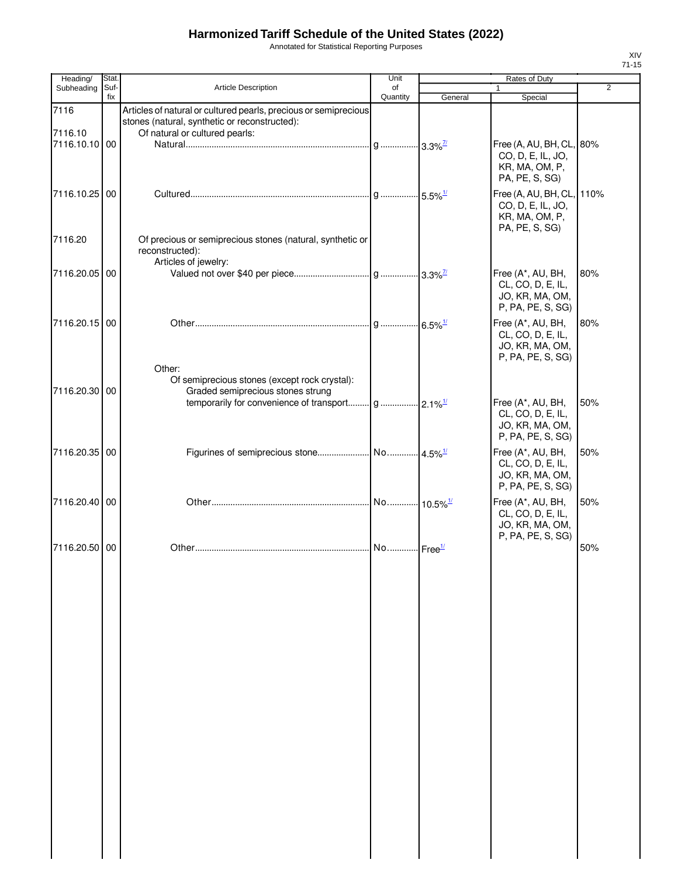Annotated for Statistical Reporting Purposes

| Heading/        | Stat.       |                                                                                                                                                     | Unit                      |         | <b>Rates of Duty</b>                                                               |                |
|-----------------|-------------|-----------------------------------------------------------------------------------------------------------------------------------------------------|---------------------------|---------|------------------------------------------------------------------------------------|----------------|
| Subheading      | Suf-<br>fix | <b>Article Description</b>                                                                                                                          | of<br>Quantity            | General | $\mathbf{1}$<br>Special                                                            | $\overline{2}$ |
| 7116<br>7116.10 |             | Articles of natural or cultured pearls, precious or semiprecious<br>stones (natural, synthetic or reconstructed):<br>Of natural or cultured pearls: |                           |         |                                                                                    |                |
| 7116.10.10 00   |             |                                                                                                                                                     |                           |         | Free (A, AU, BH, CL, 80%<br>CO, D, E, IL, JO,<br>KR, MA, OM, P,<br>PA, PE, S, SG)  |                |
| 7116.10.25 00   |             |                                                                                                                                                     |                           |         | Free (A, AU, BH, CL, 110%<br>CO, D, E, IL, JO,<br>KR, MA, OM, P,<br>PA, PE, S, SG) |                |
| 7116.20         |             | Of precious or semiprecious stones (natural, synthetic or<br>reconstructed):<br>Articles of jewelry:                                                |                           |         |                                                                                    |                |
| 7116.20.05 00   |             |                                                                                                                                                     |                           |         | Free (A*, AU, BH,<br>CL, CO, D, E, IL,<br>JO, KR, MA, OM,<br>P, PA, PE, S, SG)     | 80%            |
| 7116.20.15 00   |             | Other:                                                                                                                                              |                           |         | Free (A*, AU, BH,<br>CL, CO, D, E, IL,<br>JO, KR, MA, OM,<br>P, PA, PE, S, SG)     | 80%            |
| 7116.20.30 00   |             | Of semiprecious stones (except rock crystal):<br>Graded semiprecious stones strung                                                                  |                           |         | Free (A*, AU, BH,<br>CL, CO, D, E, IL,                                             | 50%            |
| 7116.20.35 00   |             |                                                                                                                                                     |                           |         | JO, KR, MA, OM,<br>P, PA, PE, S, SG)<br>Free (A*, AU, BH,                          | 50%            |
|                 |             |                                                                                                                                                     |                           |         | CL, CO, D, E, IL,<br>JO, KR, MA, OM,<br>P, PA, PE, S, SG)                          |                |
| 7116.20.40 00   |             |                                                                                                                                                     |                           |         | Free (A*, AU, BH,<br>CL, CO, D, E, IL,<br>JO, KR, MA, OM,<br>P, PA, PE, S, SG)     | 50%            |
| 7116.20.50 00   |             |                                                                                                                                                     | . No.  Free <sup>1/</sup> |         |                                                                                    | 50%            |
|                 |             |                                                                                                                                                     |                           |         |                                                                                    |                |
|                 |             |                                                                                                                                                     |                           |         |                                                                                    |                |
|                 |             |                                                                                                                                                     |                           |         |                                                                                    |                |
|                 |             |                                                                                                                                                     |                           |         |                                                                                    |                |
|                 |             |                                                                                                                                                     |                           |         |                                                                                    |                |
|                 |             |                                                                                                                                                     |                           |         |                                                                                    |                |
|                 |             |                                                                                                                                                     |                           |         |                                                                                    |                |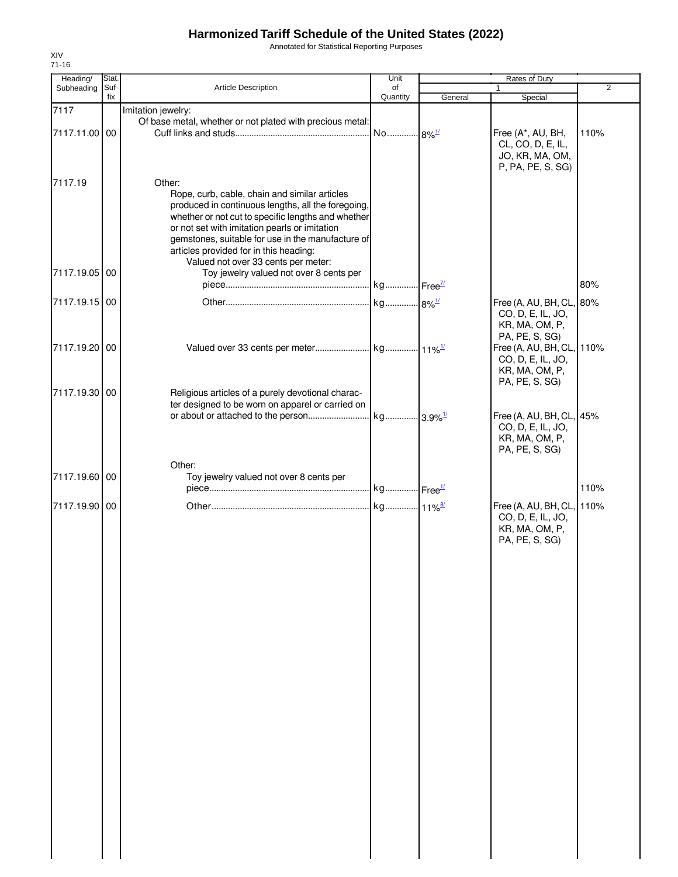Annotated for Statistical Reporting Purposes

| Heading/      | Stat.       |                                                                                                                                                                                                                                                                                                                                                            | Unit           |         | Rates of Duty                                                                      |      |
|---------------|-------------|------------------------------------------------------------------------------------------------------------------------------------------------------------------------------------------------------------------------------------------------------------------------------------------------------------------------------------------------------------|----------------|---------|------------------------------------------------------------------------------------|------|
| Subheading    | Suf-<br>fix | <b>Article Description</b>                                                                                                                                                                                                                                                                                                                                 | of<br>Quantity | General | $\mathbf{1}$<br>Special                                                            | 2    |
| 7117          |             | Imitation jewelry:<br>Of base metal, whether or not plated with precious metal:                                                                                                                                                                                                                                                                            |                |         |                                                                                    |      |
| 7117.11.00 00 |             |                                                                                                                                                                                                                                                                                                                                                            |                |         | Free (A*, AU, BH,<br>CL, CO, D, E, IL,<br>JO, KR, MA, OM,<br>P, PA, PE, S, SG)     | 110% |
| 7117.19       |             | Other:<br>Rope, curb, cable, chain and similar articles<br>produced in continuous lengths, all the foregoing,<br>whether or not cut to specific lengths and whether<br>or not set with imitation pearls or imitation<br>gemstones, suitable for use in the manufacture of<br>articles provided for in this heading:<br>Valued not over 33 cents per meter: |                |         |                                                                                    |      |
| 7117.19.05 00 |             | Toy jewelry valued not over 8 cents per                                                                                                                                                                                                                                                                                                                    |                |         |                                                                                    | 80%  |
|               |             |                                                                                                                                                                                                                                                                                                                                                            |                |         |                                                                                    |      |
| 7117.19.15 00 |             |                                                                                                                                                                                                                                                                                                                                                            |                |         | Free (A, AU, BH, CL, 80%<br>CO, D, E, IL, JO,<br>KR, MA, OM, P,<br>PA, PE, S, SG)  |      |
| 7117.19.20 00 |             |                                                                                                                                                                                                                                                                                                                                                            |                |         | Free (A, AU, BH, CL, 110%<br>CO, D, E, IL, JO,<br>KR, MA, OM, P,<br>PA, PE, S, SG) |      |
| 7117.19.30 00 |             | Religious articles of a purely devotional charac-<br>ter designed to be worn on apparel or carried on                                                                                                                                                                                                                                                      |                |         | Free (A, AU, BH, CL, 45%                                                           |      |
|               |             | Other:                                                                                                                                                                                                                                                                                                                                                     |                |         | CO, D, E, IL, JO,<br>KR, MA, OM, P,<br>PA, PE, S, SG)                              |      |
| 7117.19.60 00 |             | Toy jewelry valued not over 8 cents per                                                                                                                                                                                                                                                                                                                    |                |         |                                                                                    | 110% |
| 7117.19.90 00 |             |                                                                                                                                                                                                                                                                                                                                                            |                |         | Free (A, AU, BH, CL, 110%<br>CO, D, E, IL, JO,<br>KR, MA, OM, P,<br>PA, PE, S, SG) |      |
|               |             |                                                                                                                                                                                                                                                                                                                                                            |                |         |                                                                                    |      |
|               |             |                                                                                                                                                                                                                                                                                                                                                            |                |         |                                                                                    |      |
|               |             |                                                                                                                                                                                                                                                                                                                                                            |                |         |                                                                                    |      |
|               |             |                                                                                                                                                                                                                                                                                                                                                            |                |         |                                                                                    |      |
|               |             |                                                                                                                                                                                                                                                                                                                                                            |                |         |                                                                                    |      |
|               |             |                                                                                                                                                                                                                                                                                                                                                            |                |         |                                                                                    |      |
|               |             |                                                                                                                                                                                                                                                                                                                                                            |                |         |                                                                                    |      |
|               |             |                                                                                                                                                                                                                                                                                                                                                            |                |         |                                                                                    |      |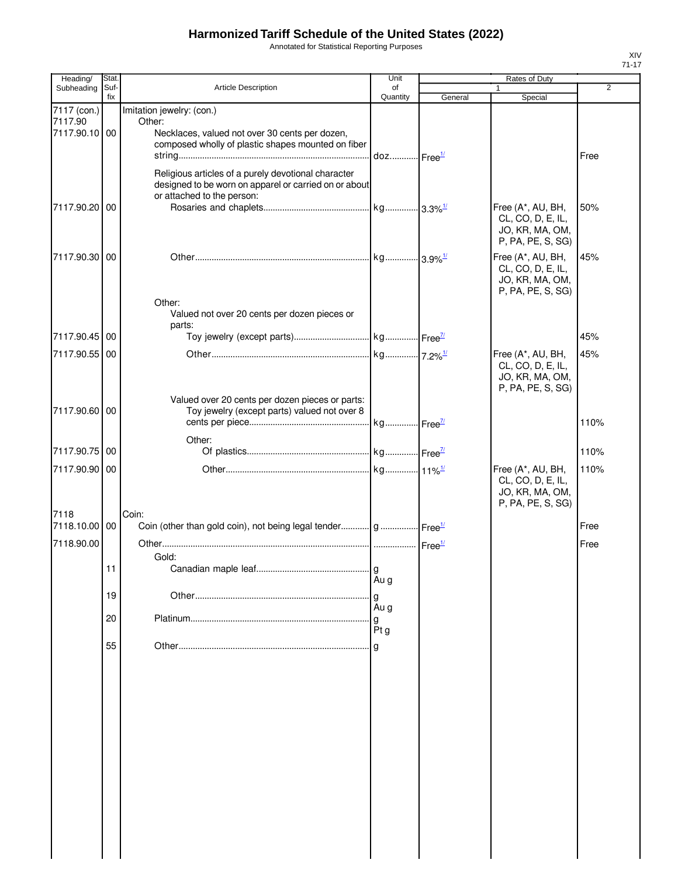Annotated for Statistical Reporting Purposes

| Heading/                                | Stat.        |                                                                                                                                            | Unit                   | Rates of Duty      |                                                                                |                |  |
|-----------------------------------------|--------------|--------------------------------------------------------------------------------------------------------------------------------------------|------------------------|--------------------|--------------------------------------------------------------------------------|----------------|--|
| Subheading                              | Suf-<br>fix  | Article Description                                                                                                                        | of<br>Quantity         | General            | 1<br>Special                                                                   | $\overline{2}$ |  |
| 7117 (con.)<br>7117.90<br>7117.90.10 00 |              | Imitation jewelry: (con.)<br>Other:                                                                                                        |                        |                    |                                                                                |                |  |
|                                         |              | Necklaces, valued not over 30 cents per dozen,<br>composed wholly of plastic shapes mounted on fiber                                       | doz Free <sup>1/</sup> |                    |                                                                                | Free           |  |
|                                         |              | Religious articles of a purely devotional character<br>designed to be worn on apparel or carried on or about<br>or attached to the person: |                        |                    |                                                                                |                |  |
| 7117.90.20 00                           |              |                                                                                                                                            |                        |                    | Free (A*, AU, BH,<br>CL, CO, D, E, IL,<br>JO, KR, MA, OM,<br>P, PA, PE, S, SG) | 50%            |  |
| 7117.90.30 00                           |              |                                                                                                                                            |                        |                    | Free (A*, AU, BH,<br>CL, CO, D, E, IL,<br>JO, KR, MA, OM,<br>P, PA, PE, S, SG) | 45%            |  |
|                                         |              | Other:<br>Valued not over 20 cents per dozen pieces or<br>parts:                                                                           |                        |                    |                                                                                |                |  |
| 7117.90.45 00                           |              |                                                                                                                                            |                        |                    |                                                                                | 45%            |  |
| 7117.90.55 00                           |              |                                                                                                                                            |                        |                    | Free (A*, AU, BH,<br>CL, CO, D, E, IL,<br>JO, KR, MA, OM,<br>P, PA, PE, S, SG) | 45%            |  |
| 7117.90.60 00                           |              | Valued over 20 cents per dozen pieces or parts:<br>Toy jewelry (except parts) valued not over 8                                            |                        |                    |                                                                                | 110%           |  |
| 7117.90.75 00                           |              | Other:                                                                                                                                     |                        |                    |                                                                                | 110%           |  |
| 7117.90.90 00                           |              |                                                                                                                                            |                        |                    | Free (A*, AU, BH,                                                              | 110%           |  |
|                                         |              |                                                                                                                                            |                        |                    | CL, CO, D, E, IL,<br>JO, KR, MA, OM,<br>P, PA, PE, S, SG)                      |                |  |
| 7118<br>7118.10.00 00                   |              | Coin:<br>Coin (other than gold coin), not being legal tender g Free <sup>14</sup>                                                          |                        |                    |                                                                                | Free           |  |
| 7118.90.00                              |              | Gold:                                                                                                                                      |                        | Free <sup>1/</sup> |                                                                                | Free           |  |
|                                         | $\mathbf{L}$ |                                                                                                                                            | g<br>Au g              |                    |                                                                                |                |  |
|                                         | 19           |                                                                                                                                            | g<br>Au g              |                    |                                                                                |                |  |
|                                         | 20           |                                                                                                                                            | g<br>Ptg               |                    |                                                                                |                |  |
|                                         | 55           |                                                                                                                                            |                        |                    |                                                                                |                |  |
|                                         |              |                                                                                                                                            |                        |                    |                                                                                |                |  |
|                                         |              |                                                                                                                                            |                        |                    |                                                                                |                |  |
|                                         |              |                                                                                                                                            |                        |                    |                                                                                |                |  |
|                                         |              |                                                                                                                                            |                        |                    |                                                                                |                |  |
|                                         |              |                                                                                                                                            |                        |                    |                                                                                |                |  |
|                                         |              |                                                                                                                                            |                        |                    |                                                                                |                |  |
|                                         |              |                                                                                                                                            |                        |                    |                                                                                |                |  |
|                                         |              |                                                                                                                                            |                        |                    |                                                                                |                |  |
|                                         |              |                                                                                                                                            |                        |                    |                                                                                |                |  |